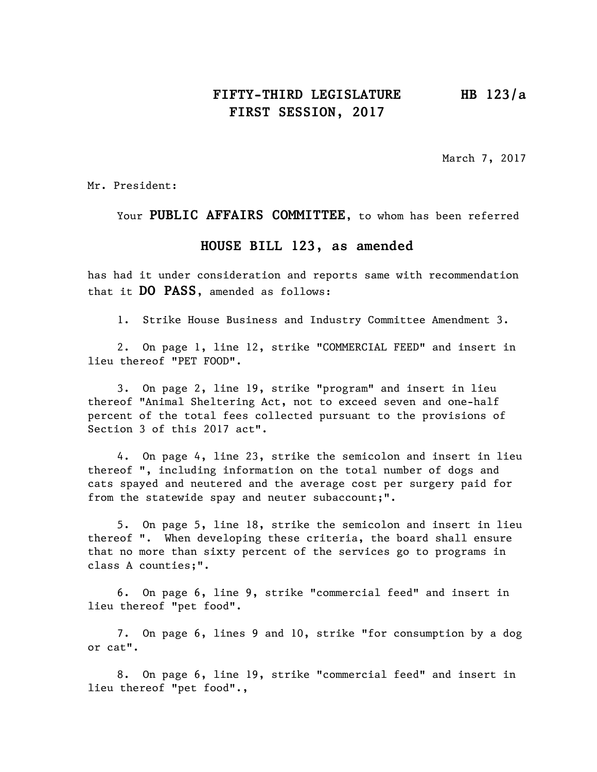## **FIFTY-THIRD LEGISLATURE HB 123/a FIRST SESSION, 2017**

March 7, 2017

Mr. President:

Your **PUBLIC AFFAIRS COMMITTEE**, to whom has been referred

## **HOUSE BILL 123, as amended**

has had it under consideration and reports same with recommendation that it **DO PASS**, amended as follows:

1. Strike House Business and Industry Committee Amendment 3.

2. On page 1, line 12, strike "COMMERCIAL FEED" and insert in lieu thereof "PET FOOD".

3. On page 2, line 19, strike "program" and insert in lieu thereof "Animal Sheltering Act, not to exceed seven and one-half percent of the total fees collected pursuant to the provisions of Section 3 of this 2017 act".

4. On page 4, line 23, strike the semicolon and insert in lieu thereof ", including information on the total number of dogs and cats spayed and neutered and the average cost per surgery paid for from the statewide spay and neuter subaccount;".

5. On page 5, line 18, strike the semicolon and insert in lieu thereof ". When developing these criteria, the board shall ensure that no more than sixty percent of the services go to programs in class A counties;".

6. On page 6, line 9, strike "commercial feed" and insert in lieu thereof "pet food".

7. On page 6, lines 9 and 10, strike "for consumption by a dog or cat".

8. On page 6, line 19, strike "commercial feed" and insert in lieu thereof "pet food".,